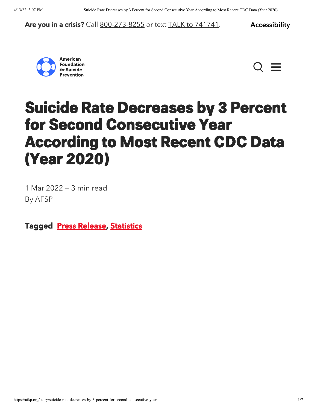#### Are you in a crisis? Call [800-273-8255](https://suicidepreventionlifeline.org/) or text [TALK to 741741.](https://crisistextline.org/) Accessibility





### <span id="page-0-0"></span>Suicide Rate Decreases by 3 Percent for Second Consecutive Year According to Most Recent CDC Data (Year 2020)

1 Mar 2022 — 3 min read By AFSP

Tagged [Press Release](https://afsp.org/tag/press-release), [Statistics](https://afsp.org/tag/statistics)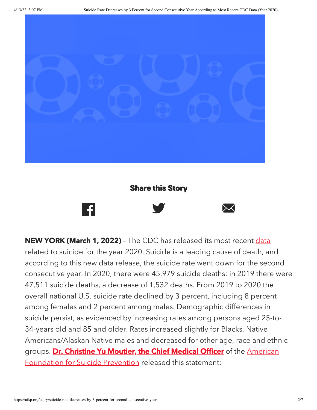

#### Share this Story



NEW YORK (March 1, 2022) - The CDC has released its most recent [data](https://www.cdc.gov/mmwr/volumes/71/wr/mm7108a5.htm?s_cid=mm7108a5_w) related to suicide for the year 2020. Suicide is a leading cause of death, and according to this new data release, the suicide rate went down for the second consecutive year. In 2020, there were 45,979 suicide deaths; in 2019 there were 47,511 suicide deaths, a decrease of 1,532 deaths. From 2019 to 2020 the overall national U.S. suicide rate declined by 3 percent, including 8 percent among females and 2 percent among males. Demographic differences in suicide persist, as evidenced by increasing rates among persons aged 25-to-34-years old and 85 and older. Rates increased slightly for Blacks, Native Americans/Alaskan Native males and decreased for other age, race and ethnic groups. Dr. [Christine](https://afsp.org/bio/christine-moutier-m-d) Yu Moutier, the Chief Medical Officer of the American [Foundation](https://afsp.org/) for Suicide Prevention released this statement: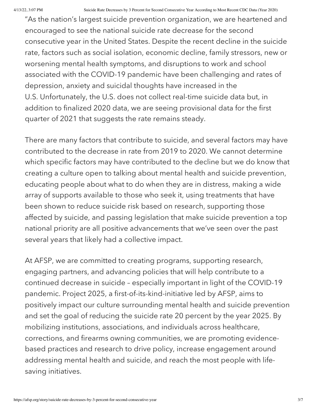"As the nation's largest suicide prevention organization, we are heartened and encouraged to see the national suicide rate decrease for the second consecutive year in the United States. Despite the recent decline in the suicide rate, factors such as social isolation, economic decline, family stressors, new or worsening mental health symptoms, and disruptions to work and school associated with the COVID-19 pandemic have been challenging and rates of depression, anxiety and suicidal thoughts have increased in the U.S. Unfortunately, the U.S. does not collect real-time suicide data but, in addition to finalized 2020 data, we are seeing provisional data for the first quarter of 2021 that suggests the rate remains steady.

There are many factors that contribute to suicide, and several factors may have contributed to the decrease in rate from 2019 to 2020. We cannot determine which specific factors may have contributed to the decline but we do know that creating a culture open to talking about mental health and suicide prevention, educating people about what to do when they are in distress, making a wide array of supports available to those who seek it, using treatments that have been shown to reduce suicide risk based on research, supporting those affected by suicide, and passing legislation that make suicide prevention a top national priority are all positive advancements that we've seen over the past several years that likely had a collective impact.

At AFSP, we are committed to creating programs, supporting research, engaging partners, and advancing policies that will help contribute to a continued decrease in suicide – especially important in light of the COVID-19 pandemic. Project 2025, a first-of-its-kind-initiative led by AFSP, aims to positively impact our culture surrounding mental health and suicide prevention and set the goal of reducing the suicide rate 20 percent by the year 2025. By mobilizing institutions, associations, and individuals across healthcare, corrections, and firearms owning communities, we are promoting evidencebased practices and research to drive policy, increase engagement around addressing mental health and suicide, and reach the most people with lifesaving initiatives.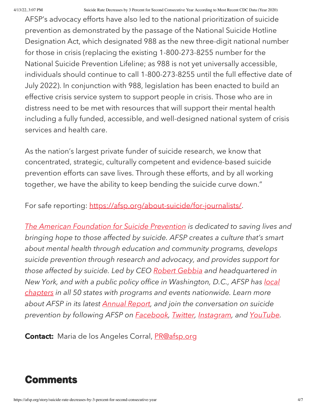4/13/22, 3:07 PM Suicide Rate Decreases by 3 Percent for Second Consecutive Year According to Most Recent CDC Data (Year 2020)

AFSP's advocacy efforts have also led to the national prioritization of suicide prevention as demonstrated by the passage of the National Suicide Hotline Designation Act, which designated 988 as the new three-digit national number for those in crisis (replacing the existing 1-800-273-8255 number for the National Suicide Prevention Lifeline; as 988 is not yet universally accessible, individuals should continue to call 1-800-273-8255 until the full effective date of July 2022). In conjunction with 988, legislation has been enacted to build an effective crisis service system to support people in crisis. Those who are in distress need to be met with resources that will support their mental health including a fully funded, accessible, and well-designed national system of crisis services and health care.

As the nation's largest private funder of suicide research, we know that concentrated, strategic, culturally competent and evidence-based suicide prevention efforts can save lives. Through these efforts, and by all working together, we have the ability to keep bending the suicide curve down."

For safe reporting: [https://afsp.org/about-suicide/for-journalists/.](https://afsp.org/about-suicide/for-journalists/)

The American [Foundation](http://www.afsp.org/) for Suicide Prevention is dedicated to saving lives and bringing hope to those affected by suicide. AFSP creates a culture that's smart about mental health through education and community programs, develops suicide prevention through research and advocacy, and provides support for those affected by suicide. Led by CEO Robert [Gebbia](http://www.afsp.org/bio/robert-gebbia) and headquartered in New York, and with a public policy office in [Washington,](http://www.afsp.org/chapters) D.C., AFSP has local chapters in all 50 states with programs and events nationwide. Learn more about AFSP in its latest [Annual](http://www.afsp.org/annualreport) Report, and join the conversation on suicide prevention by following AFSP on **[Facebook](https://www.facebook.com/AFSPnational)**, [Twitter,](https://twitter.com/afspnational) [Instagram](https://instagram.com/afspnational), and [YouTube](https://www.youtube.com/user/AFSPNational).

**Contact:** Maria de los Angeles Corral, [PR@afsp.org](mailto:PR@afsp.org)

### Comments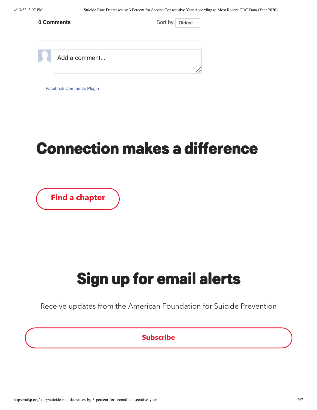| 0 Comments |                                 | Sort by<br>Oldest |
|------------|---------------------------------|-------------------|
|            | Add a comment                   |                   |
|            | <b>Facebook Comments Plugin</b> |                   |

## Connection makes a difference

[Find a chapter](https://afsp.org/find-a-local-chapter)

# Sign up for email alerts

Receive updates from the American Foundation for Suicide Prevention

### Subscribe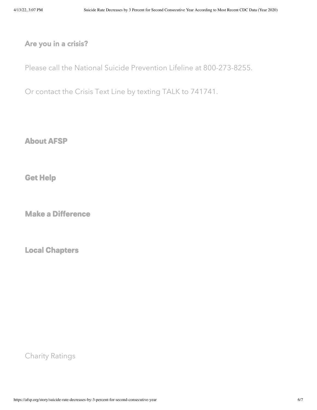### Are you in a crisis?

Please call the National Suicide [Prevention](https://suicidepreventionlifeline.org/) Lifeline at [800-273-8255](tel:+18002738255).

Or contact the [Crisis](https://crisistextline.org/) Text Line by texting TALK to [741741](sms:741741&body=TALK).

About AFSP

Get [Help](https://afsp.org/get-help)

Make a [Difference](https://afsp.org/make-a-difference)

Local Chapters

Charity Ratings